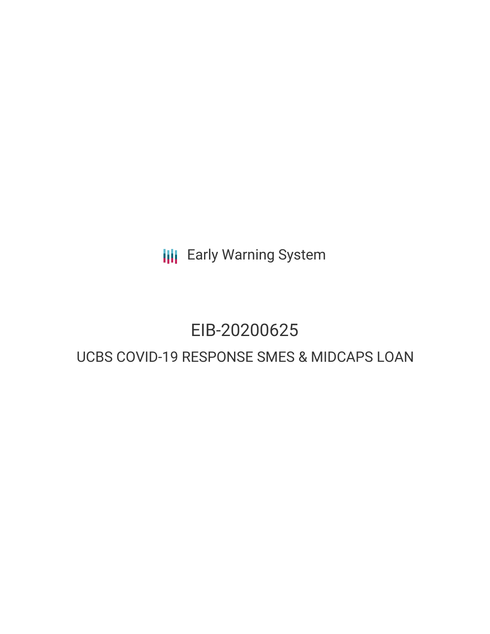**III** Early Warning System

# EIB-20200625

# UCBS COVID-19 RESPONSE SMES & MIDCAPS LOAN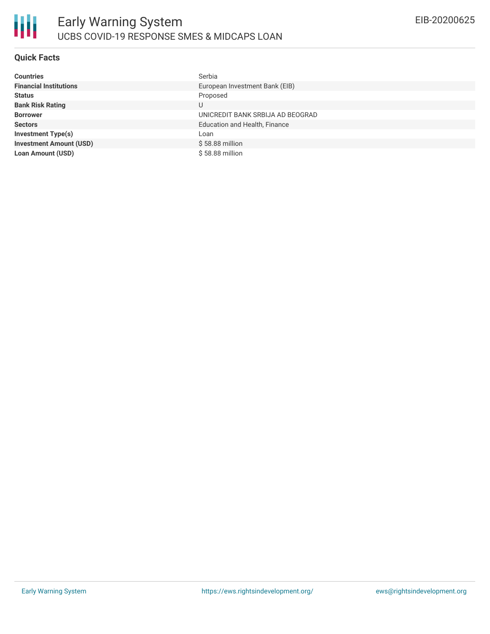## **Quick Facts**

| <b>Countries</b>               | Serbia                               |
|--------------------------------|--------------------------------------|
| <b>Financial Institutions</b>  | European Investment Bank (EIB)       |
| <b>Status</b>                  | Proposed                             |
| <b>Bank Risk Rating</b>        | U                                    |
| <b>Borrower</b>                | UNICREDIT BANK SRBIJA AD BEOGRAD     |
| <b>Sectors</b>                 | <b>Education and Health, Finance</b> |
| <b>Investment Type(s)</b>      | Loan                                 |
| <b>Investment Amount (USD)</b> | $$58.88$ million                     |
| Loan Amount (USD)              | \$58.88 million                      |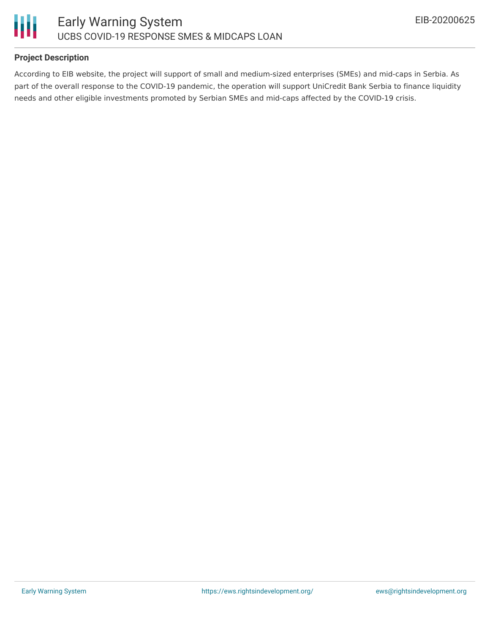

## **Project Description**

According to EIB website, the project will support of small and medium-sized enterprises (SMEs) and mid-caps in Serbia. As part of the overall response to the COVID-19 pandemic, the operation will support UniCredit Bank Serbia to finance liquidity needs and other eligible investments promoted by Serbian SMEs and mid-caps affected by the COVID-19 crisis.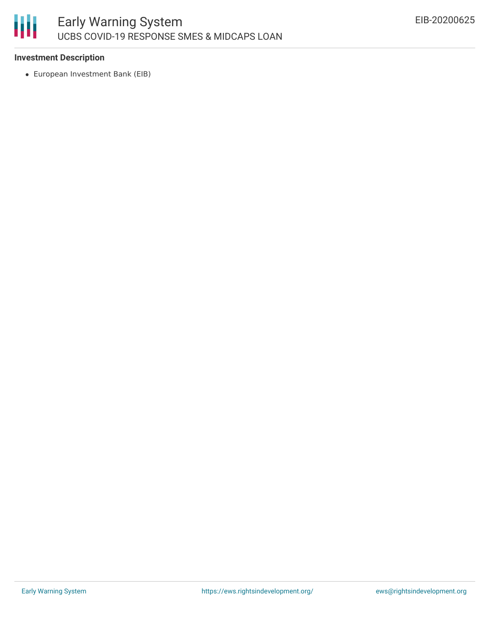

### **Investment Description**

European Investment Bank (EIB)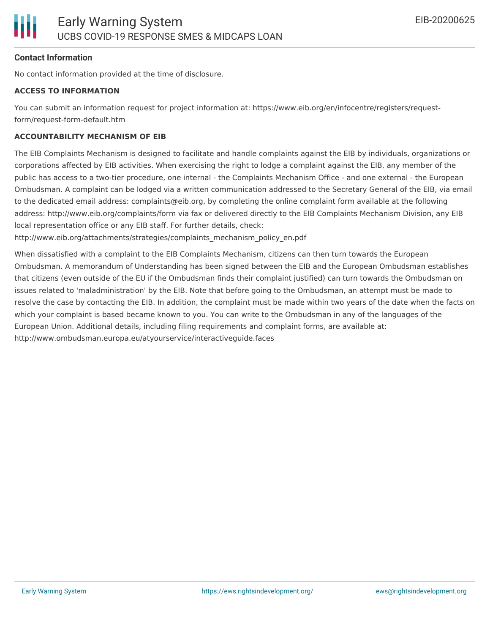#### **Contact Information**

No contact information provided at the time of disclosure.

#### **ACCESS TO INFORMATION**

You can submit an information request for project information at: https://www.eib.org/en/infocentre/registers/requestform/request-form-default.htm

#### **ACCOUNTABILITY MECHANISM OF EIB**

The EIB Complaints Mechanism is designed to facilitate and handle complaints against the EIB by individuals, organizations or corporations affected by EIB activities. When exercising the right to lodge a complaint against the EIB, any member of the public has access to a two-tier procedure, one internal - the Complaints Mechanism Office - and one external - the European Ombudsman. A complaint can be lodged via a written communication addressed to the Secretary General of the EIB, via email to the dedicated email address: complaints@eib.org, by completing the online complaint form available at the following address: http://www.eib.org/complaints/form via fax or delivered directly to the EIB Complaints Mechanism Division, any EIB local representation office or any EIB staff. For further details, check:

http://www.eib.org/attachments/strategies/complaints\_mechanism\_policy\_en.pdf

When dissatisfied with a complaint to the EIB Complaints Mechanism, citizens can then turn towards the European Ombudsman. A memorandum of Understanding has been signed between the EIB and the European Ombudsman establishes that citizens (even outside of the EU if the Ombudsman finds their complaint justified) can turn towards the Ombudsman on issues related to 'maladministration' by the EIB. Note that before going to the Ombudsman, an attempt must be made to resolve the case by contacting the EIB. In addition, the complaint must be made within two years of the date when the facts on which your complaint is based became known to you. You can write to the Ombudsman in any of the languages of the European Union. Additional details, including filing requirements and complaint forms, are available at: http://www.ombudsman.europa.eu/atyourservice/interactiveguide.faces